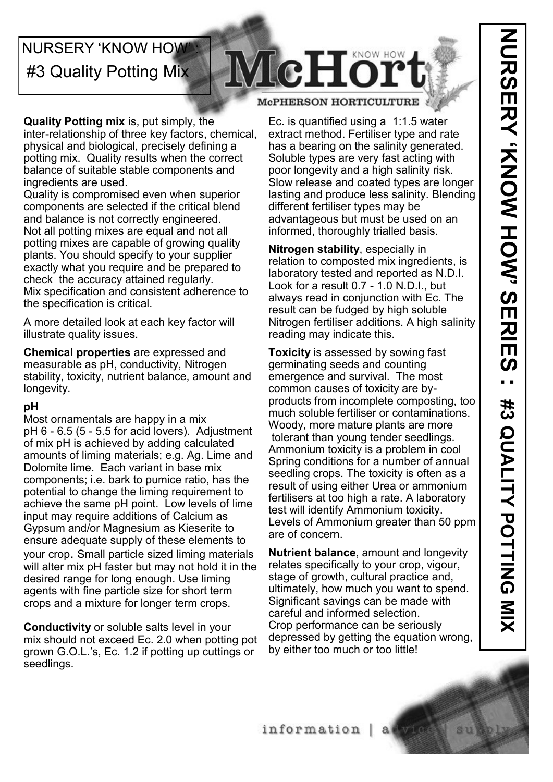## **NURSERY 'KNOW HOW'** #3 Quality Potting Mix

# McHor

### **McPHERSON HORTICULTURE**

**Quality Potting mix** is, put simply, the inter-relationship of three key factors, chemical, physical and biological, precisely defining a potting mix. Quality results when the correct balance of suitable stable components and ingredients are used.

Quality is compromised even when superior components are selected if the critical blend and balance is not correctly engineered. Not all potting mixes are equal and not all potting mixes are capable of growing quality plants. You should specify to your supplier exactly what you require and be prepared to check the accuracy attained regularly. Mix specification and consistent adherence to the specification is critical.

A more detailed look at each key factor will illustrate quality issues.

**Chemical properties** are expressed and measurable as pH, conductivity, Nitrogen stability, toxicity, nutrient balance, amount and longevity.

## **pH**

Most ornamentals are happy in a mix pH 6 - 6.5 (5 - 5.5 for acid lovers). Adjustment of mix pH is achieved by adding calculated amounts of liming materials; e.g. Ag. Lime and Dolomite lime. Each variant in base mix components; i.e. bark to pumice ratio, has the potential to change the liming requirement to achieve the same pH point. Low levels of lime input may require additions of Calcium as Gypsum and/or Magnesium as Kieserite to ensure adequate supply of these elements to your crop. Small particle sized liming materials will alter mix pH faster but may not hold it in the desired range for long enough. Use liming agents with fine particle size for short term crops and a mixture for longer term crops.

**Conductivity** or soluble salts level in your mix should not exceed Ec. 2.0 when potting pot grown G.O.L.'s, Ec. 1.2 if potting up cuttings or seedlings.

Ec. is quantified using a 1:1.5 water extract method. Fertiliser type and rate has a bearing on the salinity generated. Soluble types are very fast acting with poor longevity and a high salinity risk. Slow release and coated types are longer lasting and produce less salinity. Blending different fertiliser types may be advantageous but must be used on an informed, thoroughly trialled basis.

**Nitrogen stability**, especially in relation to composted mix ingredients, is laboratory tested and reported as N.D.I. Look for a result 0.7 - 1.0 N.D.I., but always read in conjunction with Ec. The result can be fudged by high soluble Nitrogen fertiliser additions. A high salinity reading may indicate this.

**Toxicity** is assessed by sowing fast germinating seeds and counting emergence and survival. The most common causes of toxicity are byproducts from incomplete composting, too much soluble fertiliser or contaminations. Woody, more mature plants are more tolerant than young tender seedlings. Ammonium toxicity is a problem in cool Spring conditions for a number of annual seedling crops. The toxicity is often as a result of using either Urea or ammonium fertilisers at too high a rate. A laboratory test will identify Ammonium toxicity. Levels of Ammonium greater than 50 ppm are of concern.

**Nutrient balance**, amount and longevity relates specifically to your crop, vigour, stage of growth, cultural practice and, ultimately, how much you want to spend. Significant savings can be made with careful and informed selection. Crop performance can be seriously depressed by getting the equation wrong, by either too much or too little!

 $a$